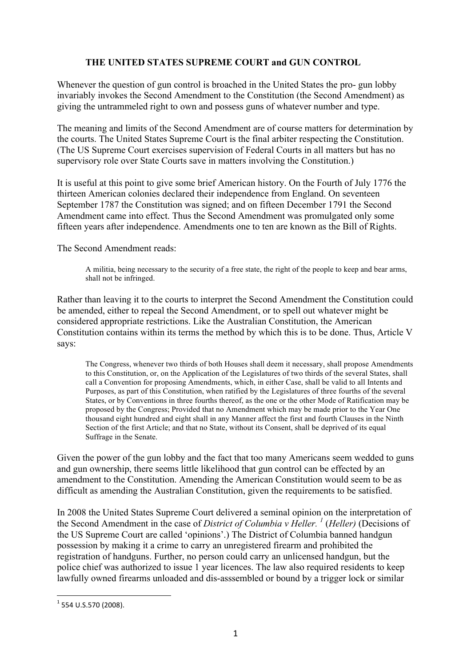## **THE UNITED STATES SUPREME COURT and GUN CONTROL**

Whenever the question of gun control is broached in the United States the pro- gun lobby invariably invokes the Second Amendment to the Constitution (the Second Amendment) as giving the untrammeled right to own and possess guns of whatever number and type.

The meaning and limits of the Second Amendment are of course matters for determination by the courts. The United States Supreme Court is the final arbiter respecting the Constitution. (The US Supreme Court exercises supervision of Federal Courts in all matters but has no supervisory role over State Courts save in matters involving the Constitution.)

It is useful at this point to give some brief American history. On the Fourth of July 1776 the thirteen American colonies declared their independence from England. On seventeen September 1787 the Constitution was signed; and on fifteen December 1791 the Second Amendment came into effect. Thus the Second Amendment was promulgated only some fifteen years after independence. Amendments one to ten are known as the Bill of Rights.

The Second Amendment reads:

A militia, being necessary to the security of a free state, the right of the people to keep and bear arms, shall not be infringed.

Rather than leaving it to the courts to interpret the Second Amendment the Constitution could be amended, either to repeal the Second Amendment, or to spell out whatever might be considered appropriate restrictions. Like the Australian Constitution, the American Constitution contains within its terms the method by which this is to be done. Thus, Article V says:

The Congress, whenever two thirds of both Houses shall deem it necessary, shall propose Amendments to this Constitution, or, on the Application of the Legislatures of two thirds of the several States, shall call a Convention for proposing Amendments, which, in either Case, shall be valid to all Intents and Purposes, as part of this Constitution, when ratified by the Legislatures of three fourths of the several States, or by Conventions in three fourths thereof, as the one or the other Mode of Ratification may be proposed by the Congress; Provided that no Amendment which may be made prior to the Year One thousand eight hundred and eight shall in any Manner affect the first and fourth Clauses in the Ninth Section of the first Article; and that no State, without its Consent, shall be deprived of its equal Suffrage in the Senate.

Given the power of the gun lobby and the fact that too many Americans seem wedded to guns and gun ownership, there seems little likelihood that gun control can be effected by an amendment to the Constitution. Amending the American Constitution would seem to be as difficult as amending the Australian Constitution, given the requirements to be satisfied.

In 2008 the United States Supreme Court delivered a seminal opinion on the interpretation of the Second Amendment in the case of *District of Columbia v Heller. <sup>1</sup>* (*Heller)* (Decisions of the US Supreme Court are called 'opinions'.) The District of Columbia banned handgun possession by making it a crime to carry an unregistered firearm and prohibited the registration of handguns. Further, no person could carry an unlicensed handgun, but the police chief was authorized to issue 1 year licences. The law also required residents to keep lawfully owned firearms unloaded and dis-asssembled or bound by a trigger lock or similar

 $1$  554 U.S.570 (2008).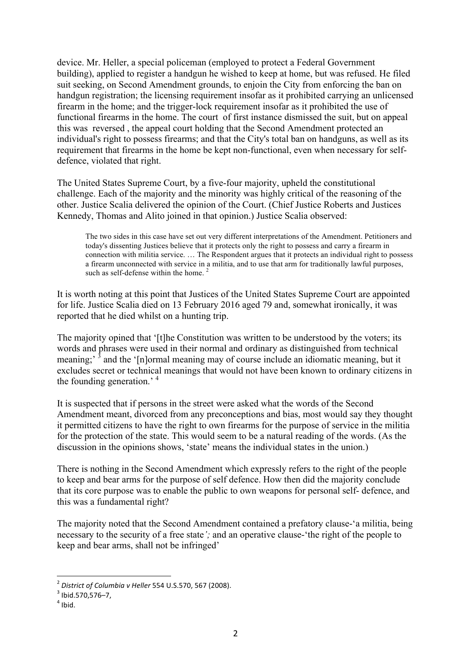device. Mr. Heller, a special policeman (employed to protect a Federal Government building), applied to register a handgun he wished to keep at home, but was refused. He filed suit seeking, on Second Amendment grounds, to enjoin the City from enforcing the ban on handgun registration; the licensing requirement insofar as it prohibited carrying an unlicensed firearm in the home; and the trigger-lock requirement insofar as it prohibited the use of functional firearms in the home. The court of first instance dismissed the suit, but on appeal this was reversed , the appeal court holding that the Second Amendment protected an individual's right to possess firearms; and that the City's total ban on handguns, as well as its requirement that firearms in the home be kept non-functional, even when necessary for selfdefence, violated that right.

The United States Supreme Court, by a five-four majority, upheld the constitutional challenge. Each of the majority and the minority was highly critical of the reasoning of the other. Justice Scalia delivered the opinion of the Court. (Chief Justice Roberts and Justices Kennedy, Thomas and Alito joined in that opinion.) Justice Scalia observed:

The two sides in this case have set out very different interpretations of the Amendment. Petitioners and today's dissenting Justices believe that it protects only the right to possess and carry a firearm in connection with militia service. … The Respondent argues that it protects an individual right to possess a firearm unconnected with service in a militia, and to use that arm for traditionally lawful purposes, such as self-defense within the home.<sup>2</sup>

It is worth noting at this point that Justices of the United States Supreme Court are appointed for life. Justice Scalia died on 13 February 2016 aged 79 and, somewhat ironically, it was reported that he died whilst on a hunting trip.

The majority opined that '[t]he Constitution was written to be understood by the voters; its words and phrases were used in their normal and ordinary as distinguished from technical meaning;<sup> $3\overline{3}$ </sup> and the '[n]ormal meaning may of course include an idiomatic meaning, but it excludes secret or technical meanings that would not have been known to ordinary citizens in the founding generation.' <sup>4</sup>

It is suspected that if persons in the street were asked what the words of the Second Amendment meant, divorced from any preconceptions and bias, most would say they thought it permitted citizens to have the right to own firearms for the purpose of service in the militia for the protection of the state. This would seem to be a natural reading of the words. (As the discussion in the opinions shows, 'state' means the individual states in the union.)

There is nothing in the Second Amendment which expressly refers to the right of the people to keep and bear arms for the purpose of self defence. How then did the majority conclude that its core purpose was to enable the public to own weapons for personal self- defence, and this was a fundamental right?

The majority noted that the Second Amendment contained a prefatory clause-'a militia, being necessary to the security of a free state*';* and an operative clause-'the right of the people to keep and bear arms, shall not be infringed'

<sup>&</sup>lt;sup>2</sup> District of Columbia v Heller 554 U.S.570, 567 (2008).<br><sup>3</sup> Ibid.570,576–7,<br><sup>4</sup> Ihid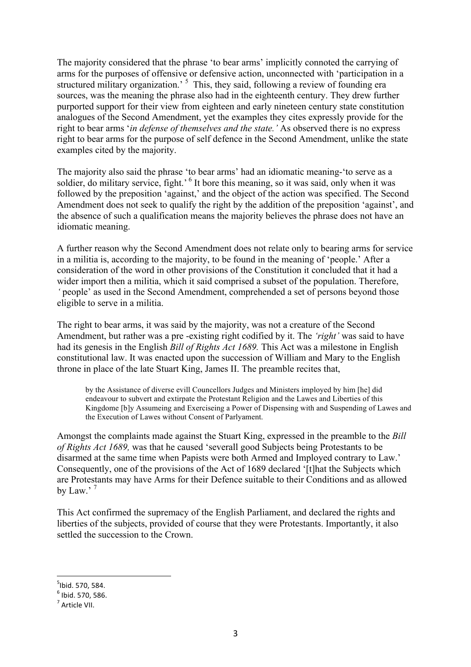The majority considered that the phrase 'to bear arms' implicitly connoted the carrying of arms for the purposes of offensive or defensive action, unconnected with 'participation in a structured military organization.<sup>5</sup> This, they said, following a review of founding era sources, was the meaning the phrase also had in the eighteenth century. They drew further purported support for their view from eighteen and early nineteen century state constitution analogues of the Second Amendment, yet the examples they cites expressly provide for the right to bear arms '*in defense of themselves and the state.'* As observed there is no express right to bear arms for the purpose of self defence in the Second Amendment, unlike the state examples cited by the majority.

The majority also said the phrase 'to bear arms' had an idiomatic meaning-'to serve as a soldier, do military service, fight.' <sup>6</sup> It bore this meaning, so it was said, only when it was followed by the preposition 'against,' and the object of the action was specified. The Second Amendment does not seek to qualify the right by the addition of the preposition 'against', and the absence of such a qualification means the majority believes the phrase does not have an idiomatic meaning.

A further reason why the Second Amendment does not relate only to bearing arms for service in a militia is, according to the majority, to be found in the meaning of 'people.' After a consideration of the word in other provisions of the Constitution it concluded that it had a wider import then a militia, which it said comprised a subset of the population. Therefore, *'* people' as used in the Second Amendment, comprehended a set of persons beyond those eligible to serve in a militia.

The right to bear arms, it was said by the majority, was not a creature of the Second Amendment, but rather was a pre -existing right codified by it. The *'right'* was said to have had its genesis in the English *Bill of Rights Act 1689.* This Act was a milestone in English constitutional law. It was enacted upon the succession of William and Mary to the English throne in place of the late Stuart King, James II. The preamble recites that,

by the Assistance of diverse evill Councellors Judges and Ministers imployed by him [he] did endeavour to subvert and extirpate the Protestant Religion and the Lawes and Liberties of this Kingdome [b]y Assumeing and Exerciseing a Power of Dispensing with and Suspending of Lawes and the Execution of Lawes without Consent of Parlyament.

Amongst the complaints made against the Stuart King, expressed in the preamble to the *Bill of Rights Act 1689,* was that he caused 'severall good Subjects being Protestants to be disarmed at the same time when Papists were both Armed and Imployed contrary to Law.' Consequently, one of the provisions of the Act of 1689 declared '[t]hat the Subjects which are Protestants may have Arms for their Defence suitable to their Conditions and as allowed by Law. $^{\prime}$ <sup>7</sup>

This Act confirmed the supremacy of the English Parliament, and declared the rights and liberties of the subjects, provided of course that they were Protestants. Importantly, it also settled the succession to the Crown.

 $5$ lbid. 570. 584.

 $<sup>6</sup>$  Ibid. 570, 586.</sup>

 $<sup>7</sup>$  Article VII.</sup>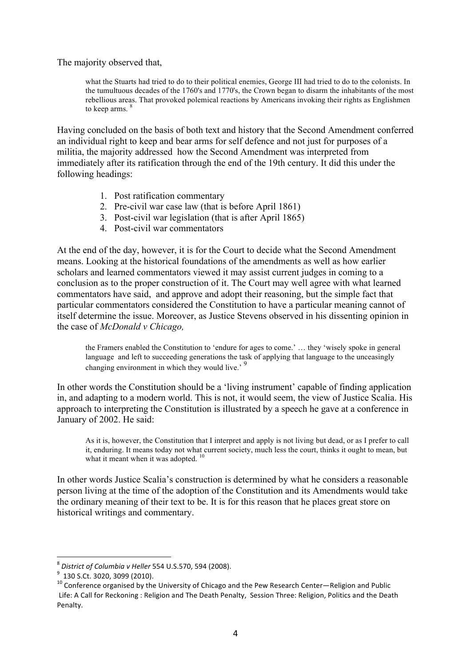The majority observed that,

what the Stuarts had tried to do to their political enemies, George III had tried to do to the colonists. In the tumultuous decades of the 1760's and 1770's, the Crown began to disarm the inhabitants of the most rebellious areas. That provoked polemical reactions by Americans invoking their rights as Englishmen to keep arms. <sup>8</sup>

Having concluded on the basis of both text and history that the Second Amendment conferred an individual right to keep and bear arms for self defence and not just for purposes of a militia, the majority addressed how the Second Amendment was interpreted from immediately after its ratification through the end of the 19th century. It did this under the following headings:

- 1. Post ratification commentary
- 2. Pre-civil war case law (that is before April 1861)
- 3. Post-civil war legislation (that is after April 1865)
- 4. Post-civil war commentators

At the end of the day, however, it is for the Court to decide what the Second Amendment means. Looking at the historical foundations of the amendments as well as how earlier scholars and learned commentators viewed it may assist current judges in coming to a conclusion as to the proper construction of it. The Court may well agree with what learned commentators have said, and approve and adopt their reasoning, but the simple fact that particular commentators considered the Constitution to have a particular meaning cannot of itself determine the issue. Moreover, as Justice Stevens observed in his dissenting opinion in the case of *McDonald v Chicago,*

the Framers enabled the Constitution to 'endure for ages to come.' … they 'wisely spoke in general language and left to succeeding generations the task of applying that language to the unceasingly changing environment in which they would live.<sup>9</sup>

In other words the Constitution should be a 'living instrument' capable of finding application in, and adapting to a modern world. This is not, it would seem, the view of Justice Scalia. His approach to interpreting the Constitution is illustrated by a speech he gave at a conference in January of 2002. He said:

As it is, however, the Constitution that I interpret and apply is not living but dead, or as I prefer to call it, enduring. It means today not what current society, much less the court, thinks it ought to mean, but what it meant when it was adopted.  $10$ 

In other words Justice Scalia's construction is determined by what he considers a reasonable person living at the time of the adoption of the Constitution and its Amendments would take the ordinary meaning of their text to be. It is for this reason that he places great store on historical writings and commentary.

<sup>&</sup>lt;sup>8</sup> District of Columbia v Heller 554 U.S.570, 594 (2008).<br><sup>9</sup> 130 S.Ct. 3020, 3099 (2010).<br><sup>10</sup> Conference organised by the University of Chicago and the Pew Research Center—Religion and Public Life: A Call for Reckoning : Religion and The Death Penalty, Session Three: Religion, Politics and the Death Penalty.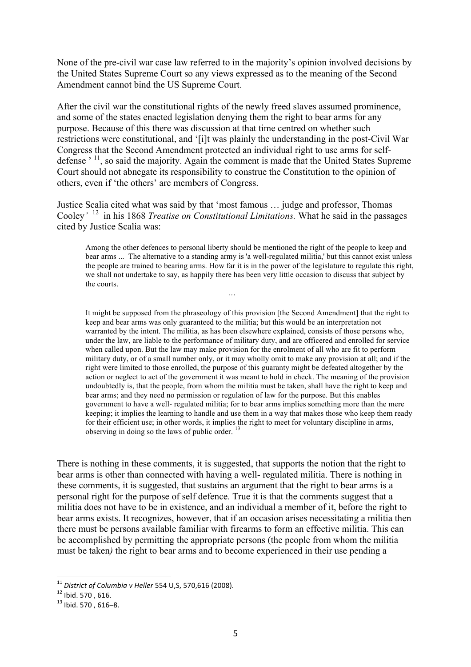None of the pre-civil war case law referred to in the majority's opinion involved decisions by the United States Supreme Court so any views expressed as to the meaning of the Second Amendment cannot bind the US Supreme Court.

After the civil war the constitutional rights of the newly freed slaves assumed prominence, and some of the states enacted legislation denying them the right to bear arms for any purpose. Because of this there was discussion at that time centred on whether such restrictions were constitutional, and '[i]t was plainly the understanding in the post-Civil War Congress that the Second Amendment protected an individual right to use arms for selfdefense<sup>, 11</sup>, so said the majority. Again the comment is made that the United States Supreme Court should not abnegate its responsibility to construe the Constitution to the opinion of others, even if 'the others' are members of Congress.

Justice Scalia cited what was said by that 'most famous … judge and professor, Thomas Cooley*'* <sup>12</sup> in his 1868 *Treatise on Constitutional Limitations.* What he said in the passages cited by Justice Scalia was:

…

Among the other defences to personal liberty should be mentioned the right of the people to keep and bear arms ... The alternative to a standing army is 'a well-regulated militia,' but this cannot exist unless the people are trained to bearing arms. How far it is in the power of the legislature to regulate this right, we shall not undertake to say, as happily there has been very little occasion to discuss that subject by the courts.

It might be supposed from the phraseology of this provision [the Second Amendment] that the right to keep and bear arms was only guaranteed to the militia; but this would be an interpretation not warranted by the intent. The militia, as has been elsewhere explained, consists of those persons who, under the law, are liable to the performance of military duty, and are officered and enrolled for service when called upon. But the law may make provision for the enrolment of all who are fit to perform military duty, or of a small number only, or it may wholly omit to make any provision at all; and if the right were limited to those enrolled, the purpose of this guaranty might be defeated altogether by the action or neglect to act of the government it was meant to hold in check. The meaning of the provision undoubtedly is, that the people, from whom the militia must be taken, shall have the right to keep and bear arms; and they need no permission or regulation of law for the purpose. But this enables government to have a well- regulated militia; for to bear arms implies something more than the mere keeping; it implies the learning to handle and use them in a way that makes those who keep them ready for their efficient use; in other words, it implies the right to meet for voluntary discipline in arms, observing in doing so the laws of public order.  $13$ 

There is nothing in these comments, it is suggested, that supports the notion that the right to bear arms is other than connected with having a well- regulated militia. There is nothing in these comments, it is suggested, that sustains an argument that the right to bear arms is a personal right for the purpose of self defence. True it is that the comments suggest that a militia does not have to be in existence, and an individual a member of it, before the right to bear arms exists. It recognizes, however, that if an occasion arises necessitating a militia then there must be persons available familiar with firearms to form an effective militia. This can be accomplished by permitting the appropriate persons (the people from whom the militia must be taken*)* the right to bear arms and to become experienced in their use pending a

<sup>&</sup>lt;sup>11</sup> District of Columbia v Heller 554 U,S, 570,616 (2008).<br><sup>12</sup> Ibid. 570 , 616.<br><sup>13</sup> Ibid. 570 . 616–8.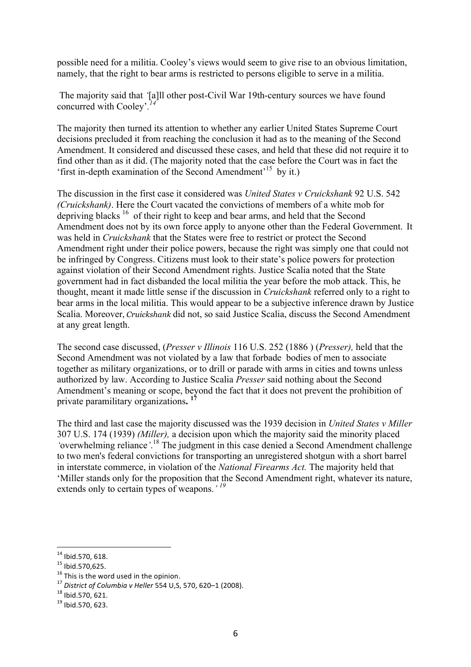possible need for a militia. Cooley's views would seem to give rise to an obvious limitation, namely, that the right to bear arms is restricted to persons eligible to serve in a militia.

The majority said that *'*[a]ll other post-Civil War 19th-century sources we have found concurred with Cooley'*. 14* 

The majority then turned its attention to whether any earlier United States Supreme Court decisions precluded it from reaching the conclusion it had as to the meaning of the Second Amendment. It considered and discussed these cases, and held that these did not require it to find other than as it did. (The majority noted that the case before the Court was in fact the 'first in-depth examination of the Second Amendment' <sup>15</sup> by it.)

The discussion in the first case it considered was *United States v Cruickshank* 92 U.S. 542 *(Cruickshank)*. Here the Court vacated the convictions of members of a white mob for depriving blacks<sup>16</sup> of their right to keep and bear arms, and held that the Second Amendment does not by its own force apply to anyone other than the Federal Government. It was held in *Cruickshank* that the States were free to restrict or protect the Second Amendment right under their police powers, because the right was simply one that could not be infringed by Congress. Citizens must look to their state's police powers for protection against violation of their Second Amendment rights. Justice Scalia noted that the State government had in fact disbanded the local militia the year before the mob attack. This, he thought, meant it made little sense if the discussion in *Cruickshank* referred only to a right to bear arms in the local militia. This would appear to be a subjective inference drawn by Justice Scalia. Moreover, *Cruickshank* did not, so said Justice Scalia, discuss the Second Amendment at any great length.

The second case discussed, (*Presser v Illinois* 116 U.S. 252 (1886 ) (*Presser),* held that the Second Amendment was not violated by a law that forbade bodies of men to associate together as military organizations, or to drill or parade with arms in cities and towns unless authorized by law. According to Justice Scalia *Presser* said nothing about the Second Amendment's meaning or scope, beyond the fact that it does not prevent the prohibition of private paramilitary organizations**. <sup>17</sup>**

The third and last case the majority discussed was the 1939 decision in *United States v Miller* 307 U.S. 174 (1939) *(Miller),* a decision upon which the majority said the minority placed 'overwhelming reliance'.<sup>18</sup> The judgment in this case denied a Second Amendment challenge to two men's federal convictions for transporting an unregistered shotgun with a short barrel in interstate commerce, in violation of the *National Firearms Act.* The majority held that 'Miller stands only for the proposition that the Second Amendment right, whatever its nature, extends only to certain types of weapons.*' <sup>19</sup>*

<sup>&</sup>lt;sup>14</sup> Ibid.570, 618.<br><sup>15</sup> Ibid.570,625.<br><sup>16</sup> This is the word used in the opinion.<br><sup>17</sup> *District of Columbia v* Heller 554 U,S, 570, 620–1 (2008).<br><sup>18</sup> Ibid.570, 621.<br><sup>19</sup> Ibid.570, 623.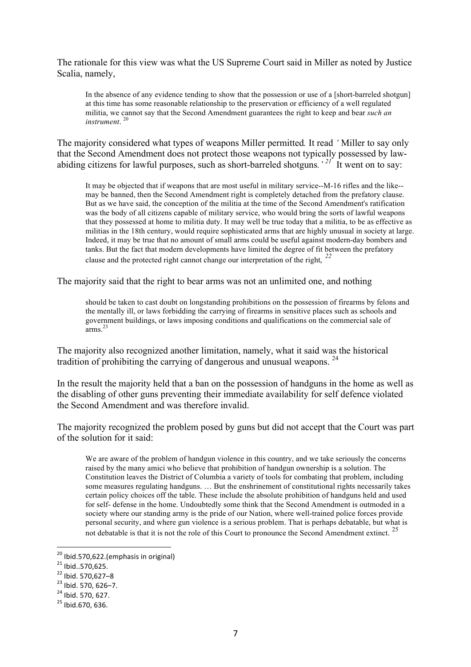The rationale for this view was what the US Supreme Court said in Miller as noted by Justice Scalia, namely,

In the absence of any evidence tending to show that the possession or use of a [short-barreled shotgun] at this time has some reasonable relationship to the preservation or efficiency of a well regulated militia, we cannot say that the Second Amendment guarantees the right to keep and bear *such an instrument*. <sup>20</sup>

The majority considered what types of weapons Miller permitted*.* It read *'* Miller to say only that the Second Amendment does not protect those weapons not typically possessed by lawabiding citizens for lawful purposes, such as short-barreled shotguns*.' 21* It went on to say:

It may be objected that if weapons that are most useful in military service--M-16 rifles and the like- may be banned, then the Second Amendment right is completely detached from the prefatory clause. But as we have said, the conception of the militia at the time of the Second Amendment's ratification was the body of all citizens capable of military service, who would bring the sorts of lawful weapons that they possessed at home to militia duty. It may well be true today that a militia, to be as effective as militias in the 18th century, would require sophisticated arms that are highly unusual in society at large. Indeed, it may be true that no amount of small arms could be useful against modern-day bombers and tanks. But the fact that modern developments have limited the degree of fit between the prefatory clause and the protected right cannot change our interpretation of the right*, <sup>22</sup>*

The majority said that the right to bear arms was not an unlimited one, and nothing

should be taken to cast doubt on longstanding prohibitions on the possession of firearms by felons and the mentally ill, or laws forbidding the carrying of firearms in sensitive places such as schools and government buildings, or laws imposing conditions and qualifications on the commercial sale of arms.23

The majority also recognized another limitation, namely, what it said was the historical tradition of prohibiting the carrying of dangerous and unusual weapons. 24

In the result the majority held that a ban on the possession of handguns in the home as well as the disabling of other guns preventing their immediate availability for self defence violated the Second Amendment and was therefore invalid.

The majority recognized the problem posed by guns but did not accept that the Court was part of the solution for it said:

We are aware of the problem of handgun violence in this country, and we take seriously the concerns raised by the many amici who believe that prohibition of handgun ownership is a solution. The Constitution leaves the District of Columbia a variety of tools for combating that problem, including some measures regulating handguns. … But the enshrinement of constitutional rights necessarily takes certain policy choices off the table. These include the absolute prohibition of handguns held and used for self- defense in the home. Undoubtedly some think that the Second Amendment is outmoded in a society where our standing army is the pride of our Nation, where well-trained police forces provide personal security, and where gun violence is a serious problem. That is perhaps debatable, but what is not debatable is that it is not the role of this Court to pronounce the Second Amendment extinct.<sup>25</sup>

<sup>&</sup>lt;sup>20</sup> Ibid.570,622.(emphasis in original)<br><sup>21</sup> Ibid..570,625.<br><sup>22</sup> Ibid. 570,627–8<br><sup>23</sup> Ibid. 570, 626–7.<br><sup>24</sup> Ibid. 570, 627. <sup>25</sup> Ibid.670, 636.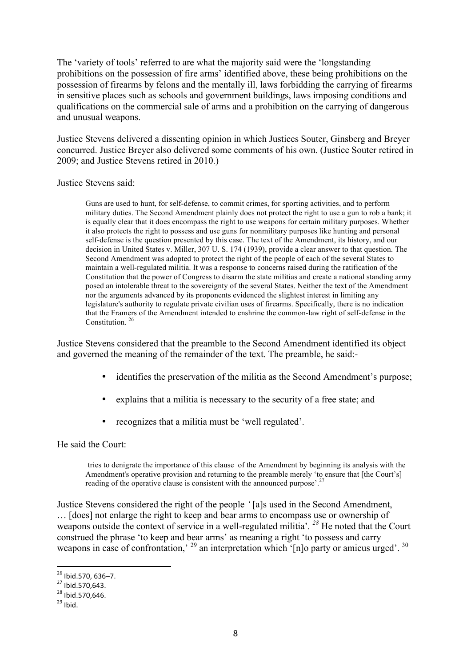The 'variety of tools' referred to are what the majority said were the 'longstanding prohibitions on the possession of fire arms' identified above, these being prohibitions on the possession of firearms by felons and the mentally ill, laws forbidding the carrying of firearms in sensitive places such as schools and government buildings, laws imposing conditions and qualifications on the commercial sale of arms and a prohibition on the carrying of dangerous and unusual weapons.

Justice Stevens delivered a dissenting opinion in which Justices Souter, Ginsberg and Breyer concurred. Justice Breyer also delivered some comments of his own. (Justice Souter retired in 2009; and Justice Stevens retired in 2010.)

Justice Stevens said:

Guns are used to hunt, for self-defense, to commit crimes, for sporting activities, and to perform military duties. The Second Amendment plainly does not protect the right to use a gun to rob a bank; it is equally clear that it does encompass the right to use weapons for certain military purposes. Whether it also protects the right to possess and use guns for nonmilitary purposes like hunting and personal self-defense is the question presented by this case. The text of the Amendment, its history, and our decision in United States v. Miller, 307 U. S. 174 (1939), provide a clear answer to that question. The Second Amendment was adopted to protect the right of the people of each of the several States to maintain a well-regulated militia. It was a response to concerns raised during the ratification of the Constitution that the power of Congress to disarm the state militias and create a national standing army posed an intolerable threat to the sovereignty of the several States. Neither the text of the Amendment nor the arguments advanced by its proponents evidenced the slightest interest in limiting any legislature's authority to regulate private civilian uses of firearms. Specifically, there is no indication that the Framers of the Amendment intended to enshrine the common-law right of self-defense in the Constitution.<sup>26</sup>

Justice Stevens considered that the preamble to the Second Amendment identified its object and governed the meaning of the remainder of the text. The preamble, he said:-

- identifies the preservation of the militia as the Second Amendment's purpose;
- explains that a militia is necessary to the security of a free state; and
- recognizes that a militia must be 'well regulated'.

He said the Court:

tries to denigrate the importance of this clause of the Amendment by beginning its analysis with the Amendment's operative provision and returning to the preamble merely 'to ensure that [the Court's] reading of the operative clause is consistent with the announced purpose'.<sup>27</sup>

Justice Stevens considered the right of the people *'* [a]s used in the Second Amendment, … [does] not enlarge the right to keep and bear arms to encompass use or ownership of weapons outside the context of service in a well-regulated militia'*. 28* He noted that the Court construed the phrase 'to keep and bear arms' as meaning a right 'to possess and carry weapons in case of confrontation,<sup>29</sup> an interpretation which '[n]o party or amicus urged'.<sup>30</sup>

<sup>&</sup>lt;sup>26</sup> Ibid.570, 636–7.<br><sup>27</sup> Ibid.570,643.<br><sup>28</sup> Ibid.570,646.<br><sup>29</sup> Ibid.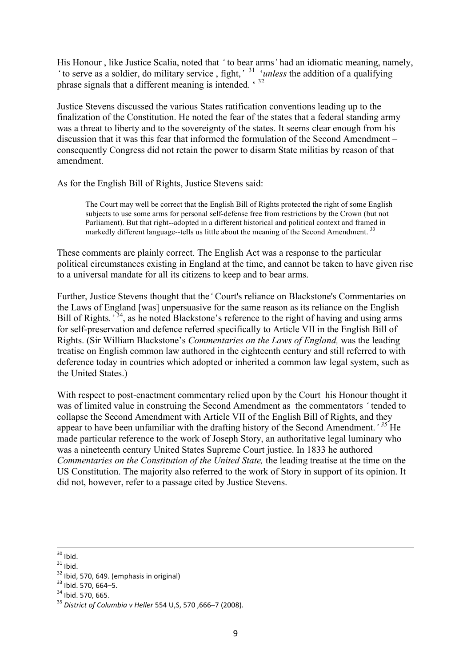His Honour , like Justice Scalia, noted that *'* to bear arms*'* had an idiomatic meaning, namely, *'* to serve as a soldier, do military service , fight,*'* 31 '*unless* the addition of a qualifying phrase signals that a different meaning is intended. ' 32

Justice Stevens discussed the various States ratification conventions leading up to the finalization of the Constitution. He noted the fear of the states that a federal standing army was a threat to liberty and to the sovereignty of the states. It seems clear enough from his discussion that it was this fear that informed the formulation of the Second Amendment – consequently Congress did not retain the power to disarm State militias by reason of that amendment.

As for the English Bill of Rights, Justice Stevens said:

The Court may well be correct that the English Bill of Rights protected the right of some English subjects to use some arms for personal self-defense free from restrictions by the Crown (but not Parliament). But that right--adopted in a different historical and political context and framed in markedly different language--tells us little about the meaning of the Second Amendment.<sup>33</sup>

These comments are plainly correct. The English Act was a response to the particular political circumstances existing in England at the time, and cannot be taken to have given rise to a universal mandate for all its citizens to keep and to bear arms.

Further, Justice Stevens thought that the*'* Court's reliance on Blackstone's Commentaries on the Laws of England [was] unpersuasive for the same reason as its reliance on the English Bill of Rights*.'* 34, as he noted Blackstone's reference to the right of having and using arms for self-preservation and defence referred specifically to Article VII in the English Bill of Rights. (Sir William Blackstone's *Commentaries on the Laws of England,* was the leading treatise on English common law authored in the eighteenth century and still referred to with deference today in countries which adopted or inherited a common law legal system, such as the United States.)

With respect to post-enactment commentary relied upon by the Court his Honour thought it was of limited value in construing the Second Amendment as the commentators *'* tended to collapse the Second Amendment with Article VII of the English Bill of Rights, and they appear to have been unfamiliar with the drafting history of the Second Amendment.*' 35* He made particular reference to the work of Joseph Story, an authoritative legal luminary who was a nineteenth century United States Supreme Court justice. In 1833 he authored *Commentaries on the Constitution of the United State,* the leading treatise at the time on the US Constitution. The majority also referred to the work of Story in support of its opinion. It did not, however, refer to a passage cited by Justice Stevens.

<sup>&</sup>lt;sup>30</sup> Ibid.<br><sup>31</sup> Ibid.<br><sup>32</sup> Ibid, 570, 649. (emphasis in original)<br><sup>33</sup> Ibid. 570, 664–5.<br><sup>34</sup> Ibid. 570, 665.<br><sup>35</sup> *District of Columbia v Heller* 554 U,S, 570 ,666–7 (2008).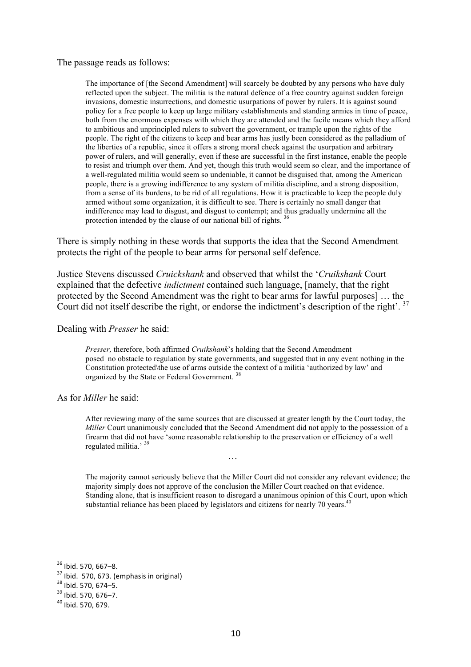The passage reads as follows:

The importance of [the Second Amendment] will scarcely be doubted by any persons who have duly reflected upon the subject. The militia is the natural defence of a free country against sudden foreign invasions, domestic insurrections, and domestic usurpations of power by rulers. It is against sound policy for a free people to keep up large military establishments and standing armies in time of peace, both from the enormous expenses with which they are attended and the facile means which they afford to ambitious and unprincipled rulers to subvert the government, or trample upon the rights of the people. The right of the citizens to keep and bear arms has justly been considered as the palladium of the liberties of a republic, since it offers a strong moral check against the usurpation and arbitrary power of rulers, and will generally, even if these are successful in the first instance, enable the people to resist and triumph over them. And yet, though this truth would seem so clear, and the importance of a well-regulated militia would seem so undeniable, it cannot be disguised that, among the American people, there is a growing indifference to any system of militia discipline, and a strong disposition, from a sense of its burdens, to be rid of all regulations. How it is practicable to keep the people duly armed without some organization, it is difficult to see. There is certainly no small danger that indifference may lead to disgust, and disgust to contempt; and thus gradually undermine all the protection intended by the clause of our national bill of rights.<sup>36</sup>

There is simply nothing in these words that supports the idea that the Second Amendment protects the right of the people to bear arms for personal self defence.

Justice Stevens discussed *Cruickshank* and observed that whilst the '*Cruikshank* Court explained that the defective *indictment* contained such language, [namely, that the right protected by the Second Amendment was the right to bear arms for lawful purposes] … the Court did not itself describe the right, or endorse the indictment's description of the right'.<sup>37</sup>

Dealing with *Presser* he said:

*Presser,* therefore, both affirmed *Cruikshank*'s holding that the Second Amendment posed no obstacle to regulation by state governments, and suggested that in any event nothing in the Constitution protected\the use of arms outside the context of a militia 'authorized by law' and organized by the State or Federal Government. <sup>38</sup>

As for *Miller* he said:

After reviewing many of the same sources that are discussed at greater length by the Court today, the *Miller* Court unanimously concluded that the Second Amendment did not apply to the possession of a firearm that did not have 'some reasonable relationship to the preservation or efficiency of a well regulated militia.<sup>'</sup> <sup>39</sup>

…

The majority cannot seriously believe that the Miller Court did not consider any relevant evidence; the majority simply does not approve of the conclusion the Miller Court reached on that evidence. Standing alone, that is insufficient reason to disregard a unanimous opinion of this Court, upon which substantial reliance has been placed by legislators and citizens for nearly 70 years. $40$ 

<sup>&</sup>lt;sup>36</sup> Ibid. 570, 667–8.<br><sup>37</sup> Ibid. 570, 673. (emphasis in original)<br><sup>38</sup> Ibid. 570, 674–5.<br><sup>39</sup> Ibid. 570, 676–7.<br><sup>40</sup> Ibid. 570, 679.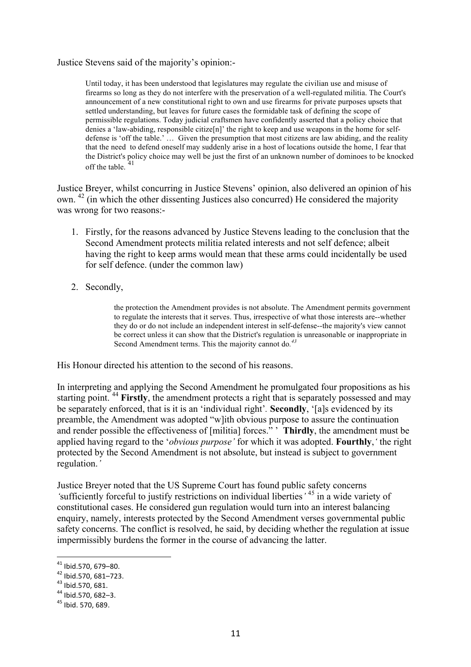Justice Stevens said of the majority's opinion:-

Until today, it has been understood that legislatures may regulate the civilian use and misuse of firearms so long as they do not interfere with the preservation of a well-regulated militia. The Court's announcement of a new constitutional right to own and use firearms for private purposes upsets that settled understanding, but leaves for future cases the formidable task of defining the scope of permissible regulations. Today judicial craftsmen have confidently asserted that a policy choice that denies a 'law-abiding, responsible citize[n]' the right to keep and use weapons in the home for selfdefense is 'off the table.' … Given the presumption that most citizens are law abiding, and the reality that the need to defend oneself may suddenly arise in a host of locations outside the home, I fear that the District's policy choice may well be just the first of an unknown number of dominoes to be knocked off the table.

Justice Breyer, whilst concurring in Justice Stevens' opinion, also delivered an opinion of his own. <sup>42</sup> (in which the other dissenting Justices also concurred) He considered the majority was wrong for two reasons:-

- 1. Firstly, for the reasons advanced by Justice Stevens leading to the conclusion that the Second Amendment protects militia related interests and not self defence; albeit having the right to keep arms would mean that these arms could incidentally be used for self defence. (under the common law)
- 2. Secondly,

the protection the Amendment provides is not absolute. The Amendment permits government to regulate the interests that it serves. Thus, irrespective of what those interests are--whether they do or do not include an independent interest in self-defense--the majority's view cannot be correct unless it can show that the District's regulation is unreasonable or inappropriate in Second Amendment terms. This the majority cannot do*. 43*

His Honour directed his attention to the second of his reasons.

In interpreting and applying the Second Amendment he promulgated four propositions as his starting point. <sup>44</sup> **Firstly**, the amendment protects a right that is separately possessed and may be separately enforced, that is it is an 'individual right'*.* **Secondly**, '[a]s evidenced by its preamble, the Amendment was adopted "w]ith obvious purpose to assure the continuation and render possible the effectiveness of [militia] forces." ' **Thirdly**, the amendment must be applied having regard to the '*obvious purpose'* for which it was adopted. **Fourthly**,*'* the right protected by the Second Amendment is not absolute, but instead is subject to government regulation.*'*

Justice Breyer noted that the US Supreme Court has found public safety concerns *'*sufficiently forceful to justify restrictions on individual liberties*'* <sup>45</sup> in a wide variety of constitutional cases. He considered gun regulation would turn into an interest balancing enquiry, namely, interests protected by the Second Amendment verses governmental public safety concerns. The conflict is resolved, he said, by deciding whether the regulation at issue impermissibly burdens the former in the course of advancing the latter.

<sup>41</sup> Ibid.570, 679–80.<br>
42 Ibid.570, 681–723.<br>
43 Ibid.570, 681.<br>
44 Ibid.570, 682–3.<br>
45 Ibid. 570, 689.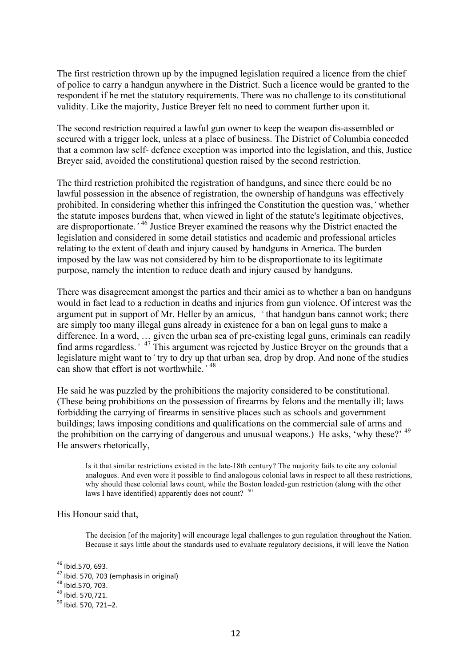The first restriction thrown up by the impugned legislation required a licence from the chief of police to carry a handgun anywhere in the District. Such a licence would be granted to the respondent if he met the statutory requirements. There was no challenge to its constitutional validity. Like the majority, Justice Breyer felt no need to comment further upon it.

The second restriction required a lawful gun owner to keep the weapon dis-assembled or secured with a trigger lock, unless at a place of business. The District of Columbia conceded that a common law self- defence exception was imported into the legislation, and this, Justice Breyer said, avoided the constitutional question raised by the second restriction.

The third restriction prohibited the registration of handguns, and since there could be no lawful possession in the absence of registration, the ownership of handguns was effectively prohibited. In considering whether this infringed the Constitution the question was,*'* whether the statute imposes burdens that, when viewed in light of the statute's legitimate objectives, are disproportionate.*'* <sup>46</sup> Justice Breyer examined the reasons why the District enacted the legislation and considered in some detail statistics and academic and professional articles relating to the extent of death and injury caused by handguns in America. The burden imposed by the law was not considered by him to be disproportionate to its legitimate purpose, namely the intention to reduce death and injury caused by handguns.

There was disagreement amongst the parties and their amici as to whether a ban on handguns would in fact lead to a reduction in deaths and injuries from gun violence. Of interest was the argument put in support of Mr. Heller by an amicus, *'* that handgun bans cannot work; there are simply too many illegal guns already in existence for a ban on legal guns to make a difference. In a word, … given the urban sea of pre-existing legal guns, criminals can readily find arms regardless.*'* <sup>47</sup> This argument was rejected by Justice Breyer on the grounds that a legislature might want to*'* try to dry up that urban sea, drop by drop. And none of the studies can show that effort is not worthwhile.*'* <sup>48</sup>

He said he was puzzled by the prohibitions the majority considered to be constitutional. (These being prohibitions on the possession of firearms by felons and the mentally ill; laws forbidding the carrying of firearms in sensitive places such as schools and government buildings; laws imposing conditions and qualifications on the commercial sale of arms and the prohibition on the carrying of dangerous and unusual weapons.) He asks, 'why these?' <sup>49</sup> He answers rhetorically,

Is it that similar restrictions existed in the late-18th century? The majority fails to cite any colonial analogues. And even were it possible to find analogous colonial laws in respect to all these restrictions, why should these colonial laws count, while the Boston loaded-gun restriction (along with the other laws I have identified) apparently does not count? <sup>50</sup>

His Honour said that,

The decision [of the majority] will encourage legal challenges to gun regulation throughout the Nation. Because it says little about the standards used to evaluate regulatory decisions, it will leave the Nation

<sup>&</sup>lt;sup>46</sup> Ibid.570, 693.<br><sup>47</sup> Ibid. 570, 703 (emphasis in original)<br><sup>48</sup> Ibid.570, 703.<br><sup>49</sup> Ibid. 570,721.<br><sup>50</sup> Ibid. 570, 721–2.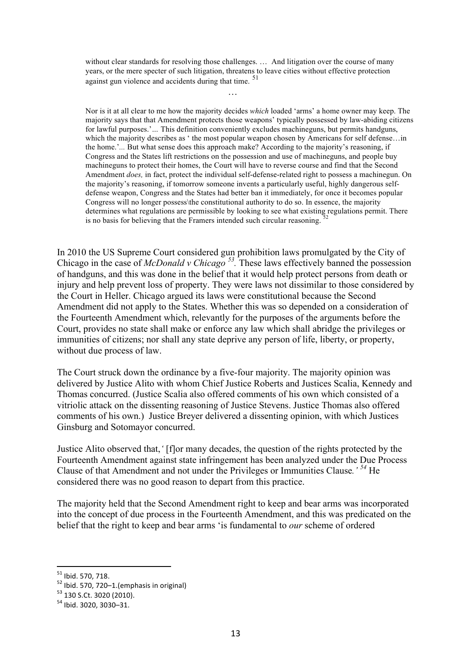without clear standards for resolving those challenges. ... And litigation over the course of many years, or the mere specter of such litigation, threatens to leave cities without effective protection against gun violence and accidents during that time.<sup>51</sup>

…

Nor is it at all clear to me how the majority decides *which* loaded 'arms' a home owner may keep. The majority says that that Amendment protects those weapons' typically possessed by law-abiding citizens for lawful purposes.'*…* This definition conveniently excludes machineguns, but permits handguns, which the majority describes as ' the most popular weapon chosen by Americans for self defense...in the home.'*...* But what sense does this approach make? According to the majority's reasoning, if Congress and the States lift restrictions on the possession and use of machineguns, and people buy machineguns to protect their homes, the Court will have to reverse course and find that the Second Amendment *does,* in fact, protect the individual self-defense-related right to possess a machinegun. On the majority's reasoning, if tomorrow someone invents a particularly useful, highly dangerous selfdefense weapon, Congress and the States had better ban it immediately, for once it becomes popular Congress will no longer possess\the constitutional authority to do so. In essence, the majority determines what regulations are permissible by looking to see what existing regulations permit. There is no basis for believing that the Framers intended such circular reasoning.

In 2010 the US Supreme Court considered gun prohibition laws promulgated by the City of Chicago in the case of *McDonald v Chicago 53.* These laws effectively banned the possession of handguns, and this was done in the belief that it would help protect persons from death or injury and help prevent loss of property. They were laws not dissimilar to those considered by the Court in Heller. Chicago argued its laws were constitutional because the Second Amendment did not apply to the States. Whether this was so depended on a consideration of the Fourteenth Amendment which, relevantly for the purposes of the arguments before the Court, provides no state shall make or enforce any law which shall abridge the privileges or immunities of citizens; nor shall any state deprive any person of life, liberty, or property, without due process of law.

The Court struck down the ordinance by a five-four majority. The majority opinion was delivered by Justice Alito with whom Chief Justice Roberts and Justices Scalia, Kennedy and Thomas concurred. (Justice Scalia also offered comments of his own which consisted of a vitriolic attack on the dissenting reasoning of Justice Stevens. Justice Thomas also offered comments of his own.) Justice Breyer delivered a dissenting opinion, with which Justices Ginsburg and Sotomayor concurred.

Justice Alito observed that,*'* [f]or many decades, the question of the rights protected by the Fourteenth Amendment against state infringement has been analyzed under the Due Process Clause of that Amendment and not under the Privileges or Immunities Clause*.' <sup>54</sup>* He considered there was no good reason to depart from this practice.

The majority held that the Second Amendment right to keep and bear arms was incorporated into the concept of due process in the Fourteenth Amendment, and this was predicated on the belief that the right to keep and bear arms 'is fundamental to *our* scheme of ordered

<sup>&</sup>lt;sup>51</sup> Ibid. 570, 718.<br><sup>52</sup> Ibid. 570, 720–1.(emphasis in original)<br><sup>53</sup> 130 S.Ct. 3020 (2010).<br><sup>54</sup> Ibid. 3020, 3030–31.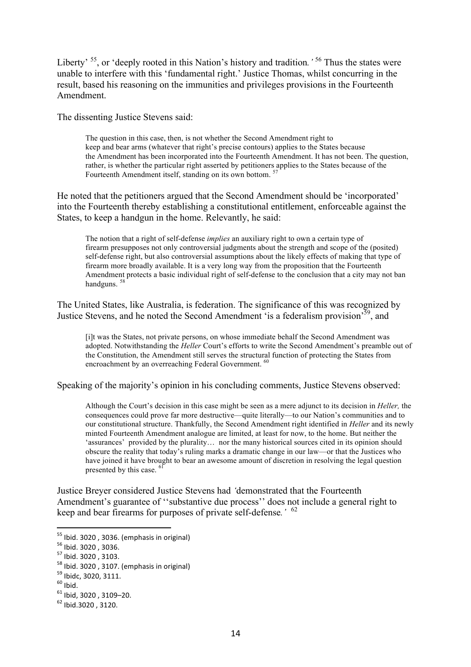Liberty<sup>, 55</sup>, or 'deeply rooted in this Nation's history and tradition.<sup>56</sup> Thus the states were unable to interfere with this 'fundamental right.' Justice Thomas, whilst concurring in the result, based his reasoning on the immunities and privileges provisions in the Fourteenth Amendment.

The dissenting Justice Stevens said:

The question in this case, then, is not whether the Second Amendment right to keep and bear arms (whatever that right's precise contours) applies to the States because the Amendment has been incorporated into the Fourteenth Amendment. It has not been. The question, rather, is whether the particular right asserted by petitioners applies to the States because of the Fourteenth Amendment itself, standing on its own bottom.<sup>5</sup>

He noted that the petitioners argued that the Second Amendment should be 'incorporated' into the Fourteenth thereby establishing a constitutional entitlement, enforceable against the States, to keep a handgun in the home. Relevantly, he said:

The notion that a right of self-defense *implies* an auxiliary right to own a certain type of firearm presupposes not only controversial judgments about the strength and scope of the (posited) self-defense right, but also controversial assumptions about the likely effects of making that type of firearm more broadly available. It is a very long way from the proposition that the Fourteenth Amendment protects a basic individual right of self-defense to the conclusion that a city may not ban handguns.<sup>58</sup>

The United States, like Australia, is federation. The significance of this was recognized by Justice Stevens, and he noted the Second Amendment 'is a federalism provision'59, and

[i]t was the States, not private persons, on whose immediate behalf the Second Amendment was adopted. Notwithstanding the *Heller* Court's efforts to write the Second Amendment's preamble out of the Constitution, the Amendment still serves the structural function of protecting the States from encroachment by an overreaching Federal Government.<sup>60</sup>

Speaking of the majority's opinion in his concluding comments, Justice Stevens observed:

Although the Court's decision in this case might be seen as a mere adjunct to its decision in *Heller,* the consequences could prove far more destructive—quite literally—to our Nation's communities and to our constitutional structure. Thankfully, the Second Amendment right identified in *Heller* and its newly minted Fourteenth Amendment analogue are limited, at least for now, to the home. But neither the 'assurances' provided by the plurality… nor the many historical sources cited in its opinion should obscure the reality that today's ruling marks a dramatic change in our law—or that the Justices who have joined it have brought to bear an awesome amount of discretion in resolving the legal question presented by this case.  $\frac{6}{1}$ 

Justice Breyer considered Justice Stevens had *'*demonstrated that the Fourteenth Amendment's guarantee of ''substantive due process'' does not include a general right to keep and bear firearms for purposes of private self-defense*.'* <sup>62</sup>

<sup>&</sup>lt;sup>55</sup> Ibid. 3020 , 3036. (emphasis in original)<br>
<sup>56</sup> Ibid. 3020 , 3036.<br>
<sup>57</sup> Ibid. 3020 , 3103.<br>
<sup>58</sup> Ibid. 3020 , 3107. (emphasis in original)<br>
<sup>59</sup> Ibidc, 3020, 3111.<br>
<sup>60</sup> Ibid.<br>
<sup>61</sup> Ibid, 3020 , 3109–20.<br>
<sup>62</sup> Ibid.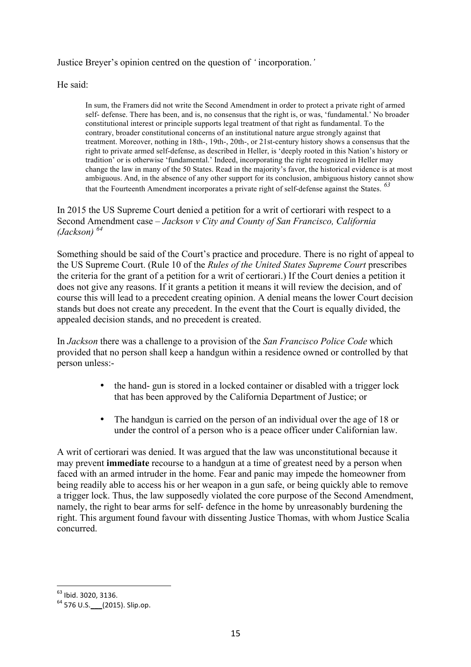## Justice Breyer's opinion centred on the question of *'* incorporation.*'*

He said:

In sum, the Framers did not write the Second Amendment in order to protect a private right of armed self- defense. There has been, and is, no consensus that the right is, or was, 'fundamental.' No broader constitutional interest or principle supports legal treatment of that right as fundamental. To the contrary, broader constitutional concerns of an institutional nature argue strongly against that treatment. Moreover, nothing in 18th-, 19th-, 20th-, or 21st-century history shows a consensus that the right to private armed self-defense, as described in Heller, is 'deeply rooted in this Nation's history or tradition' or is otherwise 'fundamental.' Indeed, incorporating the right recognized in Heller may change the law in many of the 50 States. Read in the majority's favor, the historical evidence is at most ambiguous. And, in the absence of any other support for its conclusion, ambiguous history cannot show that the Fourteenth Amendment incorporates a private right of self-defense against the States. *<sup>63</sup>*

In 2015 the US Supreme Court denied a petition for a writ of certiorari with respect to a Second Amendment case – *Jackson v City and County of San Francisco, California (Jackson) <sup>64</sup>*

Something should be said of the Court's practice and procedure. There is no right of appeal to the US Supreme Court. (Rule 10 of the *Rules of the United States Supreme Court* prescribes the criteria for the grant of a petition for a writ of certiorari.) If the Court denies a petition it does not give any reasons. If it grants a petition it means it will review the decision, and of course this will lead to a precedent creating opinion. A denial means the lower Court decision stands but does not create any precedent. In the event that the Court is equally divided, the appealed decision stands, and no precedent is created.

In *Jackson* there was a challenge to a provision of the *San Francisco Police Code* which provided that no person shall keep a handgun within a residence owned or controlled by that person unless:-

- the hand- gun is stored in a locked container or disabled with a trigger lock that has been approved by the California Department of Justice; or
- The handgun is carried on the person of an individual over the age of 18 or under the control of a person who is a peace officer under Californian law.

A writ of certiorari was denied. It was argued that the law was unconstitutional because it may prevent **immediate** recourse to a handgun at a time of greatest need by a person when faced with an armed intruder in the home. Fear and panic may impede the homeowner from being readily able to access his or her weapon in a gun safe, or being quickly able to remove a trigger lock. Thus, the law supposedly violated the core purpose of the Second Amendment, namely, the right to bear arms for self- defence in the home by unreasonably burdening the right. This argument found favour with dissenting Justice Thomas, with whom Justice Scalia concurred.

 $<sup>63</sup>$  Ibid. 3020, 3136.<br> $<sup>64</sup>$  576 U.S. (2015). Slip.op.</sup></sup>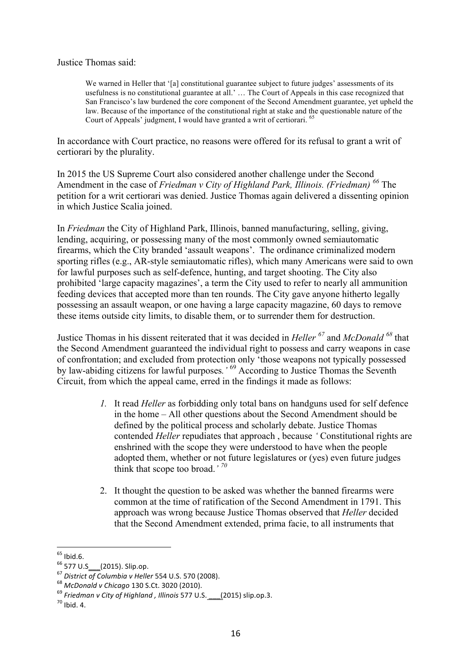## Justice Thomas said:

We warned in Heller that '[a] constitutional guarantee subject to future judges' assessments of its usefulness is no constitutional guarantee at all.' … The Court of Appeals in this case recognized that San Francisco's law burdened the core component of the Second Amendment guarantee, yet upheld the law. Because of the importance of the constitutional right at stake and the questionable nature of the Court of Appeals' judgment, I would have granted a writ of certiorari. <sup>65</sup>

In accordance with Court practice, no reasons were offered for its refusal to grant a writ of certiorari by the plurality.

In 2015 the US Supreme Court also considered another challenge under the Second Amendment in the case of *Friedman v City of Highland Park, Illinois. (Friedman) <sup>66</sup>* The petition for a writ certiorari was denied. Justice Thomas again delivered a dissenting opinion in which Justice Scalia joined.

In *Friedman* the City of Highland Park, Illinois, banned manufacturing, selling, giving, lending, acquiring, or possessing many of the most commonly owned semiautomatic firearms, which the City branded 'assault weapons'. The ordinance criminalized modern sporting rifles (e.g., AR-style semiautomatic rifles), which many Americans were said to own for lawful purposes such as self-defence, hunting, and target shooting. The City also prohibited 'large capacity magazines', a term the City used to refer to nearly all ammunition feeding devices that accepted more than ten rounds. The City gave anyone hitherto legally possessing an assault weapon, or one having a large capacity magazine, 60 days to remove these items outside city limits, to disable them, or to surrender them for destruction.

Justice Thomas in his dissent reiterated that it was decided in *Heller <sup>67</sup>* and *McDonald <sup>68</sup>* that the Second Amendment guaranteed the individual right to possess and carry weapons in case of confrontation; and excluded from protection only 'those weapons not typically possessed by law-abiding citizens for lawful purposes*.'* <sup>69</sup> According to Justice Thomas the Seventh Circuit, from which the appeal came, erred in the findings it made as follows:

- *1.* It read *Heller* as forbidding only total bans on handguns used for self defence in the home – All other questions about the Second Amendment should be defined by the political process and scholarly debate. Justice Thomas contended *Heller* repudiates that approach , because *'* Constitutional rights are enshrined with the scope they were understood to have when the people adopted them, whether or not future legislatures or (yes) even future judges think that scope too broad.*' 70*
- 2. It thought the question to be asked was whether the banned firearms were common at the time of ratification of the Second Amendment in 1791. This approach was wrong because Justice Thomas observed that *Heller* decided that the Second Amendment extended, prima facie, to all instruments that

<sup>&</sup>lt;sup>65</sup> Ibid.6.<br>
<sup>66</sup> 577 U.S\_\_\_(2015). Slip.op.<br>
<sup>67</sup> District of Columbia v Heller 554 U.S. 570 (2008).<br>
<sup>68</sup> McDonald v Chicago 130 S.Ct. 3020 (2010).<br>
<sup>69</sup> Friedman v City of Highland , Illinois 577 U.S.\_\_\_(2015) slip.op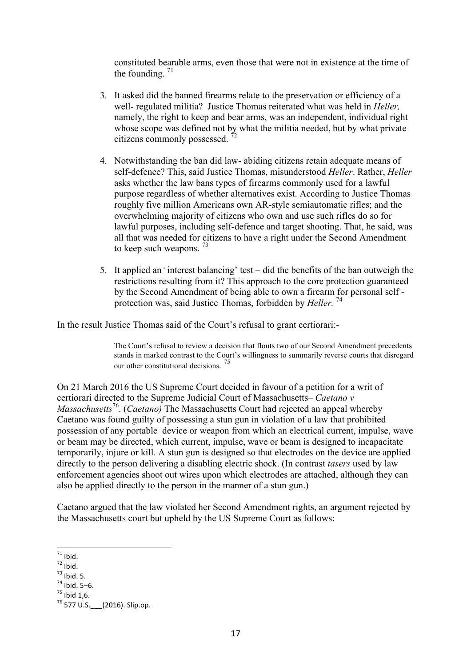constituted bearable arms, even those that were not in existence at the time of the founding.  $71$ 

- 3. It asked did the banned firearms relate to the preservation or efficiency of a well- regulated militia? Justice Thomas reiterated what was held in *Heller,*  namely, the right to keep and bear arms, was an independent, individual right whose scope was defined not by what the militia needed, but by what private citizens commonly possessed.  $\frac{72}{2}$
- 4. Notwithstanding the ban did law- abiding citizens retain adequate means of self-defence? This, said Justice Thomas, misunderstood *Heller*. Rather, *Heller* asks whether the law bans types of firearms commonly used for a lawful purpose regardless of whether alternatives exist. According to Justice Thomas roughly five million Americans own AR-style semiautomatic rifles; and the overwhelming majority of citizens who own and use such rifles do so for lawful purposes, including self-defence and target shooting. That, he said, was all that was needed for citizens to have a right under the Second Amendment to keep such weapons.  $^{73}$
- 5. It applied an*'* interest balancing' test did the benefits of the ban outweigh the restrictions resulting from it? This approach to the core protection guaranteed by the Second Amendment of being able to own a firearm for personal self protection was, said Justice Thomas, forbidden by *Heller.* 74

In the result Justice Thomas said of the Court's refusal to grant certiorari:-

The Court's refusal to review a decision that flouts two of our Second Amendment precedents stands in marked contrast to the Court's willingness to summarily reverse courts that disregard our other constitutional decisions*.* <sup>75</sup>

On 21 March 2016 the US Supreme Court decided in favour of a petition for a writ of certiorari directed to the Supreme Judicial Court of Massachusetts– *Caetano v Massachusetts*76. (*Caetano)* The Massachusetts Court had rejected an appeal whereby Caetano was found guilty of possessing a stun gun in violation of a law that prohibited possession of any portable device or weapon from which an electrical current, impulse, wave or beam may be directed, which current, impulse, wave or beam is designed to incapacitate temporarily, injure or kill. A stun gun is designed so that electrodes on the device are applied directly to the person delivering a disabling electric shock. (In contrast *tasers* used by law enforcement agencies shoot out wires upon which electrodes are attached, although they can also be applied directly to the person in the manner of a stun gun.)

Caetano argued that the law violated her Second Amendment rights, an argument rejected by the Massachusetts court but upheld by the US Supreme Court as follows:

- 
- 
- 
- 

<sup>&</sup>lt;sup>71</sup> Ibid.<br>
<sup>72</sup> Ibid.<br>
<sup>73</sup> Ibid. 5.<br>
<sup>74</sup> Ibid 1,6.<br>
<sup>75</sup> 577 U.S.\_\_(2016). Slip.op.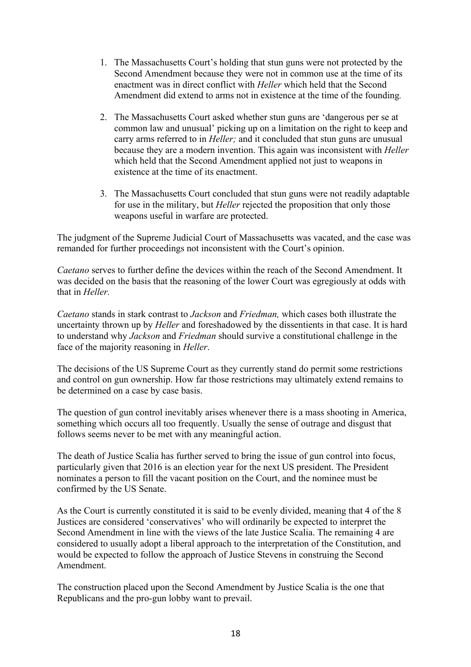- 1. The Massachusetts Court's holding that stun guns were not protected by the Second Amendment because they were not in common use at the time of its enactment was in direct conflict with *Heller* which held that the Second Amendment did extend to arms not in existence at the time of the founding*.*
- 2. The Massachusetts Court asked whether stun guns are 'dangerous per se at common law and unusual' picking up on a limitation on the right to keep and carry arms referred to in *Heller;* and it concluded that stun guns are unusual because they are a modern invention. This again was inconsistent with *Heller*  which held that the Second Amendment applied not just to weapons in existence at the time of its enactment.
- 3. The Massachusetts Court concluded that stun guns were not readily adaptable for use in the military, but *Heller* rejected the proposition that only those weapons useful in warfare are protected.

The judgment of the Supreme Judicial Court of Massachusetts was vacated, and the case was remanded for further proceedings not inconsistent with the Court's opinion.

*Caetano* serves to further define the devices within the reach of the Second Amendment. It was decided on the basis that the reasoning of the lower Court was egregiously at odds with that in *Heller.*

*Caetano* stands in stark contrast to *Jackson* and *Friedman,* which cases both illustrate the uncertainty thrown up by *Heller* and foreshadowed by the dissentients in that case. It is hard to understand why *Jackson* and *Friedman* should survive a constitutional challenge in the face of the majority reasoning in *Heller*.

The decisions of the US Supreme Court as they currently stand do permit some restrictions and control on gun ownership. How far those restrictions may ultimately extend remains to be determined on a case by case basis.

The question of gun control inevitably arises whenever there is a mass shooting in America, something which occurs all too frequently. Usually the sense of outrage and disgust that follows seems never to be met with any meaningful action.

The death of Justice Scalia has further served to bring the issue of gun control into focus, particularly given that 2016 is an election year for the next US president. The President nominates a person to fill the vacant position on the Court, and the nominee must be confirmed by the US Senate.

As the Court is currently constituted it is said to be evenly divided, meaning that 4 of the 8 Justices are considered 'conservatives' who will ordinarily be expected to interpret the Second Amendment in line with the views of the late Justice Scalia. The remaining 4 are considered to usually adopt a liberal approach to the interpretation of the Constitution, and would be expected to follow the approach of Justice Stevens in construing the Second Amendment.

The construction placed upon the Second Amendment by Justice Scalia is the one that Republicans and the pro-gun lobby want to prevail.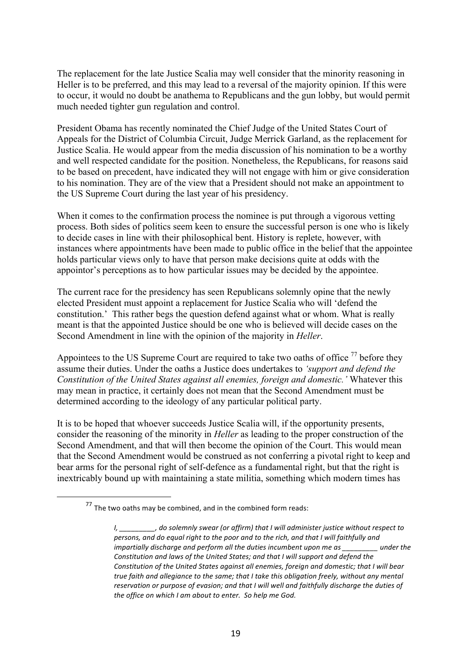The replacement for the late Justice Scalia may well consider that the minority reasoning in Heller is to be preferred, and this may lead to a reversal of the majority opinion. If this were to occur, it would no doubt be anathema to Republicans and the gun lobby, but would permit much needed tighter gun regulation and control.

President Obama has recently nominated the Chief Judge of the United States Court of Appeals for the District of Columbia Circuit, Judge Merrick Garland, as the replacement for Justice Scalia. He would appear from the media discussion of his nomination to be a worthy and well respected candidate for the position. Nonetheless, the Republicans, for reasons said to be based on precedent, have indicated they will not engage with him or give consideration to his nomination. They are of the view that a President should not make an appointment to the US Supreme Court during the last year of his presidency.

When it comes to the confirmation process the nominee is put through a vigorous vetting process. Both sides of politics seem keen to ensure the successful person is one who is likely to decide cases in line with their philosophical bent. History is replete, however, with instances where appointments have been made to public office in the belief that the appointee holds particular views only to have that person make decisions quite at odds with the appointor's perceptions as to how particular issues may be decided by the appointee.

The current race for the presidency has seen Republicans solemnly opine that the newly elected President must appoint a replacement for Justice Scalia who will 'defend the constitution.' This rather begs the question defend against what or whom. What is really meant is that the appointed Justice should be one who is believed will decide cases on the Second Amendment in line with the opinion of the majority in *Heller*.

Appointees to the US Supreme Court are required to take two oaths of office  $^{77}$  before they assume their duties. Under the oaths a Justice does undertakes to *'support and defend the Constitution of the United States against all enemies, foreign and domestic.'* Whatever this may mean in practice, it certainly does not mean that the Second Amendment must be determined according to the ideology of any particular political party.

It is to be hoped that whoever succeeds Justice Scalia will, if the opportunity presents, consider the reasoning of the minority in *Heller* as leading to the proper construction of the Second Amendment, and that will then become the opinion of the Court. This would mean that the Second Amendment would be construed as not conferring a pivotal right to keep and bear arms for the personal right of self-defence as a fundamental right, but that the right is inextricably bound up with maintaining a state militia, something which modern times has

 

 $77$  The two oaths may be combined, and in the combined form reads:

*I, \_\_\_\_\_\_\_\_\_, do solemnly swear (or affirm) that I will administer justice without respect to*  persons, and do equal right to the poor and to the rich, and that I will faithfully and *impartially discharge and perform all the duties incumbent upon me as under the Constitution and laws of the United States; and that I will support and defend the* Constitution of the United States against all enemies, foreign and domestic; that I will bear *true faith and allegiance to the same;* that *I* take this obligation freely, without any mental reservation or purpose of evasion; and that I will well and faithfully discharge the duties of *the office on which I am about to enter. So help me God.*